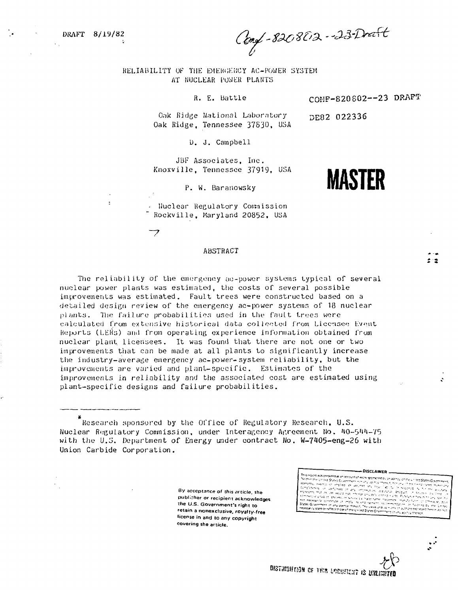$\ddot{\phantom{a}}$ 

Conf-820802-23-Doct

COHP-820 802—23 DRAFT

**MASTER**

DE82 022336

RELIABILITY OF THE EMERGENCY AC-POWER SYSTEM AT NUCLEAR POWER PLANTS

R. E. Battle

Oak Ridge National Laboratory Oak Ridge, Tennessee 37830, USA

U. J. Campbell

JBF Associates, Inc. Knoxville, Tennessee 37919, USA

P. W. Baranowsky

Nuclear Regulatory Commission Rockville, Maryland 20852, USA

## ABSTRACT

The reliability of the emergency ac-power systems typical of several nuclear power plants was estimated, the costs of several possible improvements was estimated. Fault trees were constructed based on a detailed design review of the emergency ac-power systems of  $18$  nuclear plants. The failure probabilities used in the fault trees were calculated from extensive historical data collected from Licensee Event Rejwrts (LElis) and from operating experience information obtained from nuclear plant licensees. It was found that there are not one or two improvements that can be made at all plants to significantly increase the industry-average emergency ac-power-system reliability, but the improvements are varied and plant-specific. Estimates of the improvements in reliability and the associated cost are estimated using plant-specific designs and failure probabilities.

Kesearch sponsored by the Office of Regulatory Research, U.S. Nuclear Regulatory Commission, under Interagency Agreement No. 40-544-75 with the U.S. Department of Energy under contract No. W-7405-eng-26 with Union Carbide Corporation.

> **By acceptance of this article, the** publicher or recipient acknowledges **the U.S. Government's right to retain a nonexclusive, royalty-free license in and to any copyright covering the article.**

**This report was prepared as an operator of the CDISCLAIMER** ...<br>This report was prepared as an operator of the spectromagnetic principal contributions of the CDISTING professor<br>Worker the United States Comparing the perio in<br>in seriel  $\neg x \neg x$ es Government of any agency thereof, The views and opinions of any agency thereof, The views and opinion<br>His Government of any agency thereof, The views and opinion<br>Historicy stare or tellect those of the United States Gry Tar falar na Inl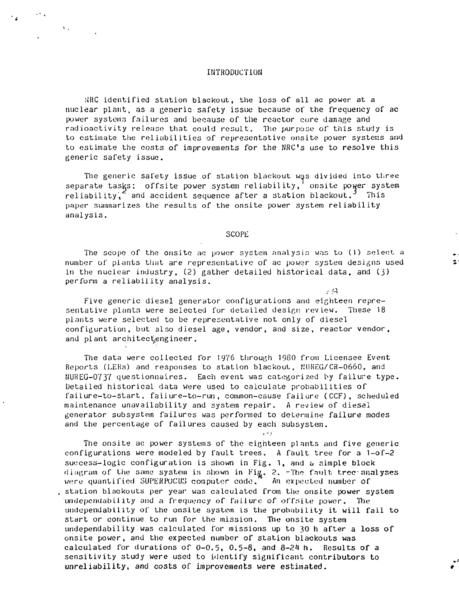#### INTRODUCTION

 $\mathbf{V}_{\text{eff}}$ 

,'\RC identified station blackout, the loss of all ac power at a nuclear plant, as a generic safety issue because of the frequency of ac power systems failures and because of the reactor core damage and radioactivity release that could result. The purpose of this study is to estimate the reliabilities of representative onsite power systems and to estimate the costs of improvements for the NRC's use to resolve this generic safety issue.

The generic safety issue of station blackout was divided into three separate tasks: offsite power system reliability, onsite power system reliability, and accident sequence after a station blackout.<sup>3</sup> This paper summarizes the results of the onsite power system reliability analysis.

#### **SCOPE**

The scope of the onsite ac power system analysis was to (1) select a number of plants that are representative of ac power system designs used in the nuclear industry, (2) gather detailed historical data, and (3) perform a reliability analysis.

 $\sim$  41

Five generic diesel generator configurations and eighteen representative plants were selected for detailed design review. These 18 plants were selected to be representative not only of diesel configuration, but also diesel age, vendor, and size, reactor vendor, and plant architectengineer.

The data were collected for 1976 through 1980 from Licensee Event Reports (LERs) and responses to station blackout, MUREG/CR-0660, and NUHEG-0737 questionnaires. Each event was categorized by failure type. Detailed historical data were used to calculate probabilities of failure-to-start, failure-to-run, common-cause failure (CCF), scheduled maintenance unavailability and system repair. A review of diesel generator subsystem failures was performed to determine failure modes and the percentage of failures caused by each subsystem.

The onsite ac power systems of the eighteen plants and five generic configurations were modeled by fault trees. A fault tree for a 1-of-2 success-logic configuration is shown in Fig. 1, and a simple block diagram of the same system is shown in Fig. 2. -The fault tree-an<mark>alyses</mark> were quantified SUPERPOCUS computer code." An expected number of station blackouts per year was calculated from the onsite power system undependabil. ity and a frequency of failure *of* off site power. The undependability of the onsite system is the probability it will fail to start or continue to run for the mission. The onsite system undependability was calculated for missions up to 30 h after a loss of onsite power, and the expected number of station blackouts was calculated for durations of  $0-0.5$ ,  $0.5-8$ , and  $8-24$  h. Results of a sensitivity study were used to identify significant contributors to unreliability, and costs **of** improvements **were estimated.**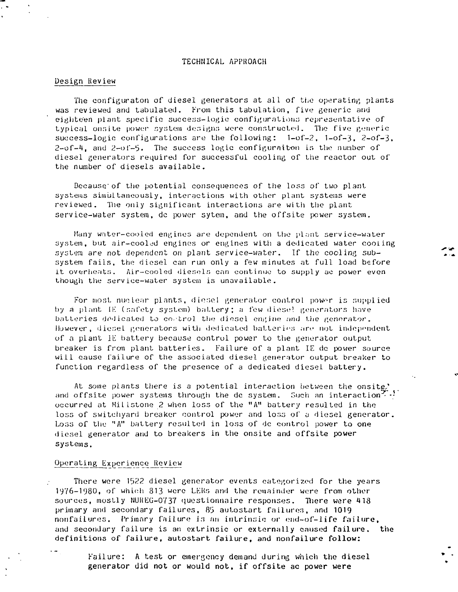#### TECHNICAL APPROACH

#### Design Review

The configuraton of diesel generators at all of the operating plants was reviewed and tabulated. From this tabulation, five generic and eighteen plant specific success-logic configuration:: representative of typical onsite power system designs were constructed. The five generic success-logic configurations are the following:  $1-0f-2$ ,  $1-0f-3$ ,  $2-0f-3$ .  $2-\sigma f-4$ , and  $2-\sigma f-5$ . The success logic configuration is the number of diesel generators required for successful cooling of the reactor out of the number of diesels available.

Because'of the potential consequences of the loss of two plant systems simultaneously, interactions with other plant systems were reviewed. The only significant interactions are with the plant service-water system, dc power sytem, and the offsite power system.

Many water-cooled engines are dependent on the plant service-water system, but air-cooled engines or engines with a dedicated water cooling system are not dependent on plant service-water. If the cooling subsystem fails, the diesel can run only a few minutes at full load before it overheats. Air-cooled diesels can continue to supply ac power even though the service-water system is unavailable.

For most nuclear plants, diesel generator control power is supplied by a plant IK (safety system) battery; a few diese! generators have batteries dedicated to control the diesel engine and the generator. However, diesel generators with dedicated batteries are not independent of a plant IE battery because control power to the generator output breaker is from plant batteries. Failure of a plant IE dc power source will cause failure of the associated diesel generator output breaker to function regardless of the presence of a dedicated diesel battery.

At some plants there is a potential interaction between the onsite,' and offsite power systems through the dc system. Such an interaction  $\ddot{ }$   $\cdot$   $\cdot$ occurred at Millstone 2 when loss of the "A" battery resulted in the loss of switchyard breaker control power and loss of a diesel generator. Loss of the "A" battery resulted in loss of dc control power to one diesel generator and to breakers in the onsite and offsite power systems.

## Operating Experience Review

There were 1522 diesel generator events categorized for the years 1976-1980, of which 813 were LERs and the remainder were from othersources, mostly NUREG-0737 questionnaire responses. There were 418 primary and secondary failures, 8'3 autostart failures, and 1019 nonfailures. Primary failure is an intrinsic or end-of-life failure, and secondary failure is an extrinsic or externally caused failure, the definitions of failure, autostart failure, and nonfailure follow:

Failure: A test or emergency demand during which the diesel generator did not or would not, if offsite ac power were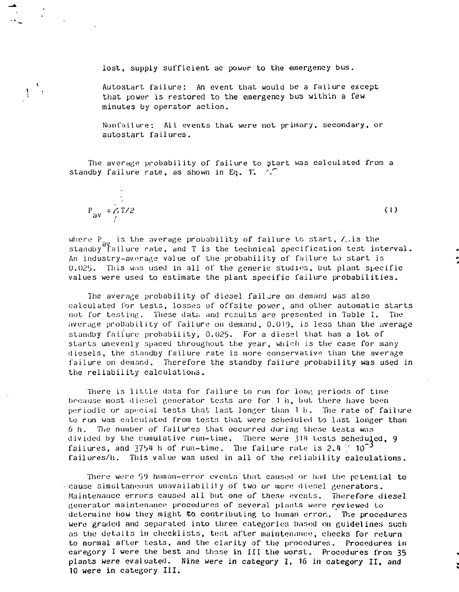lost, supply sufficient ac power to the emergency bus.

Autostart failure: An event that would be a failure except that power is restored to the emergency bus within a few minutes by operator action.

Nonfailure: AIL events that were not primary, secondary, or autostart failures.

The average probability of failure to start was calculated from a standby failure rate, as shown in Eq. T.  $\angle$ 

 $P_{\text{av}} = f_1 T / 2$  (1)  $\mathcal{L}$ 

 $\mathbf{V}$ 

where  $\rm P_{\rm int}$  is the average probability of failure to start, /,,is the standby failure rate, and T is the technical specification test interval. An industry-average value of the probability of failure to start is  $0.025$ . This was used in all of the generic studies, but plant specific values were used to estimate the plant specific failure probabilities.

The average probability of diesel failure on demand was also calculated for tests, losses of offsite power, and other automatic starts not for testing. These data and results are presented in Table I. The average probability of failure on demand, 0.019, is less than the average standby failure probability, 0.025. For a diesel that has a lot of starts unevenly spaced throughout the year, which is the case for many diesels, the standby failure rate is more conservative than the average failure on demand. Therefore the standby failure probability was used in the reliability calculations.

There is little data for failure to run for long periods of time bocause most diesel generator tests are for 1 h, but. there have boon periodic or special tests that last longer than 1 h. The rate of failure to run was calculated from tests that were scheduled to last longer than 6 h. The number of failures that occurred during these tests was divided by the cumulative run-time. There were 314 tests scheduled, 9 failures, and 3754 h of run-time. The failure rate is 2.4  $\degree$  10<sup>-3</sup> failures/h. This value was used in all of the reliability calculations.

There were 59 human-error events that caused or had the potential to cause simultaneous unavailability of two or more fliesel generators. Maintenance errors caused all but one of these events. Therefore diesel generator maintenance procedures of several plants wore reviewed to determine how they might to contributing to human error,. The procedures were graded and separated into three categories based on guidelines such as the detaiLs in checklists, test after maintenance, checks for return to normal after tests, and the clarity of the procedures. Procedures in caregory I were the best and those in III the worst. Procedures from 35 plants were evaluated. Nine were in category I, 16 in category II, and 10 were in category III.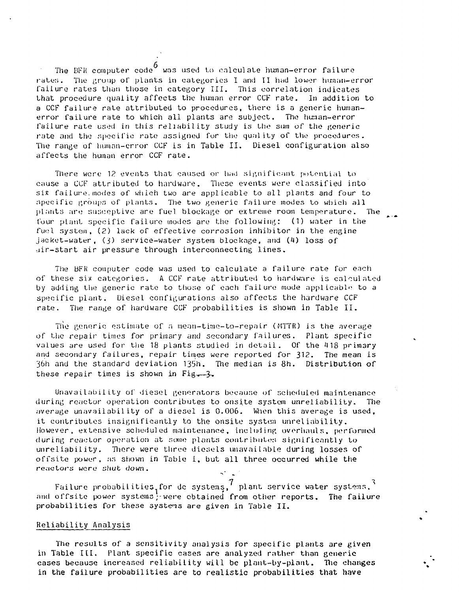The BFR computer code was used to calculate human-error failure rates. The group of plants in categories I and II had lower human-error failure rates than those in category III. This correlation indicates that procedure quality affects the human error CCF rate. In addition to a CCF failure rate attributed to procedures, there is a generic humanerror failure rate to which all plants are subject. The human-error failure rate used in this reliability study is the sum of the generic rate and the specific rate assigned for the quality of the procedures. The range of human-error CCF is in Table II. Diesel configuration also affects the human error CCF rate.

There wore 1? events that caused or had significant potential to cause a CCF attributed to hardware. These events were classified into six failure. modes of which two are applicable to all plants and four to specific groups of plants. The two generic failure modes to which all plants are susceptive are fuel blockage or extreme room temperature. The (our plant specific failure modes are the following: (1) water in the fuel system, (2) lack of effective corrosion inhibitor in the engine jacket-water,  $(3)$  service-water system blockage, and  $(4)$  loss of air-start air pressure through interconnecting lines.

The BFK computer code was used to calculate a failure rate for each of these six categories. A CCF rate attributed to hardware is calculated by adding the generic rate to those of each failure mode applicable to a specific plant. Diesel configurations also affects the hardware CCF rate. The range of hardware CCF probabilities is shown in Table II .

The generic estimate of a mean-time-to-repair (HTTR) is the average of the repair times for primary and secondary failures. Plant specific values are used for the 18 plants studied in detail. Of the 418 primary and secondary failures, repair times were reported for 312. The mean is 'j6h and the standard deviation 135h. The median is 8h. Distribution of these repair times is shown in Fig-3.

Unavailability of diesel generators because of scheduled maintenance during reactor operation contributes to onsite system unreliability. The average unavailability of a diesel is 0.006. When this average is used, it contributes insignificantly to the onsite system unreliability. However, extensive scheduled maintenance, including overhauls, performed during reactor operation at some plants contributes significantly to unreliability. There were three diesels unavailable during losses of offsite power, as shown in Table 1, but all three occurred while the reactors were shut down.

Failure probabilities for de systems,  $^\prime$  plant service water systems.  $^\prime$ and offsite power systems; were obtained from other reports. The failure probabilities for these systems are given in Table II.

## Reliability Analysis

The results of a sensitivity analysis for specific plants are given in Table III. Plant specific cases are analyzed rather than generic cases because increased reliability will be plant-by-plant. The changes in the failure probabilities are to realistic probabilities that have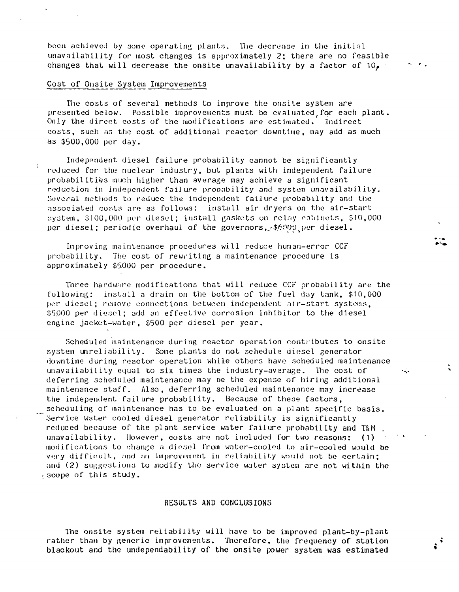been achieved by some operating plants. The decrease in the initial unavailability for most changes is approximately 2; there are no feasible changes that will decrease the onsite unavailability by a factor of  $10<sub>e</sub>$ .

# Cost of Onsite System Improvements

The costs of several methods to improve the onsite system are presented below. Possible improvements must be evaluated for each plant. Only the direct costs of the modifications are estimated, Indirect costs, such as the cost of additional reactor downtime, may add as much as \$500,000 per day.

Independent diesel failure probability cannot be significantly reduced for the nuclear industry, but plants with independent failure probabilities much higher than average may achieve a significant reduction in independent failure probability and system unavailability. Several methods to reduce the independent failure probability and the associated costs are as follows: install air dryers on the air-start system, \$100,000 per diesel; install gaskets on relay cabinets, \$10,000 per diesel; periodic overhaul of the governors , \$6000 per diesel.

Improving maintenance procedures will reduce human-error CCF probability. The cost of rewriting a maintenance procedure is approximately \$5000 per procedure.

Three hardware modifications that will reduce CCF probability are the following: install a drain on the bottom of the fuel day tank, \$10,000 per diesel; remove connections between independent air-start systems, \$5,000 per diesel; add an effective corrosion inhibitor to the diesel engine jacket-water, \$500 per diesel per year.

Scheduled maintenance during reactor operation contributes to onsite system unreliability. Some plants do not schedule diesel generator downtime during reactor operation while others have scheduled maintenance unavailability equal to six times the industry-average. The cost of deferring scheduled maintenance may oe the expense of hiring additional maintenance staff. Also, deferring scheduled maintenance may increase the independent failure probability. Because of these factors, scheduling of maintenance has to be evaluated on a plant specific basis. Service water cooled diesel generator reliability is significantly reduced because of the plant service water failure probability and T&M unavailability. However, costs are not included for two reasons: (1) modifications to change a diosel from writer-cooled to air-cooled would be very difficult, and an improvement in reliability would not be certain; and (2) suggestions to modify the service water system are not within the scope of this study.

# RESULTS AND CONCLUSIONS

The onsite system reliability will have to be improved plant-by-plant rather than by generic improvements. Therefore, the frequency of station blackout and the undependability of the onsite power system was estimated

 $\mathcal{L}_{\mathbf{a},\mathbf{b}}$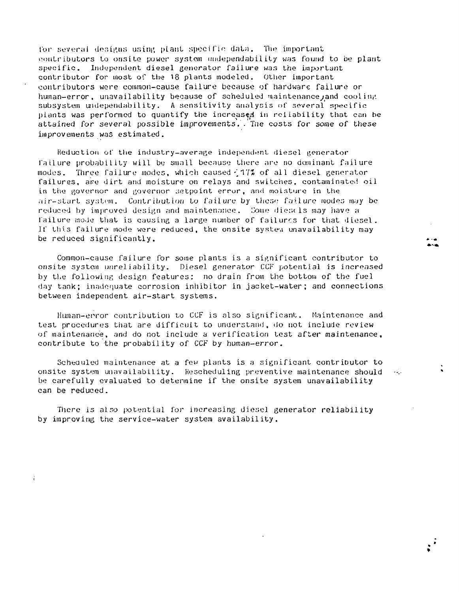tor several designs using pLant specific: data. The important contributors to onsite power system undependability was found to be plant specific. Independent diesel generator failure was the important contributor for most of the 18 plants modeled. Other important contributors were common-cause failure because of hardware failure or human-error, unavailability because of scheduled maintenance, and cooling subsystem undependability. A sensitivity analysis of several specific plants was performed to quantify the increased in reliability that can be attained for several possible improvements. . Tne costs for some of these improvements was estimated.

Reduction of the industry-average independent diesel generator failure probability will be small because there are no dominant failure modes. Three failure modes, which, caused ^17X of all diesel generator failures, are dirt and moisture on relays and switches, contaminated oil in the governor and governor setpoint error, and moisture in the air-start system. Contribution to failure by these failure modes may be reduced by improved design and maintenance. Some diescls may have a failure mode that is causing a large number of failures for that diesel. If this failure mode were reduced, the onsite system unavailability may be reduced significantly.

Common-cause failure for some plants is a significant contributor to onsite system unreliability. Diesel generator CCF potential is increased by the following design features: no drain from the bottom of the fuel day tank; inadequate corrosion inhibitor in jacket-water; and connections between independent air-start systems.

Human-error contribution to CCF is also significant. Maintenance and test procedures that are difficult to understand, do not include review of maintenance, and do not include a verification test after maintenance, contribute to the probability of CCF by human-error.

Scheduled maintenance at a few plants is a significant contributor to onsite system unavailability. Rescheduling preventive maintenance should be carefully evaluated to determine if the onsite system unavailability can be reduced.

المرتب ا

There is also potential for increasing diesel generator reliability by improving the service-water system availability.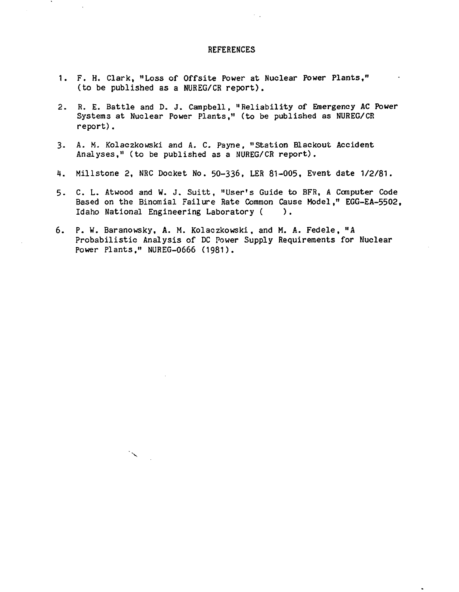# **REFERENCES**

- 1. F. H. Clark, "Loss of Offsite Power at Nuclear Power Plants," (to be published as a NUREG/CR report).
- 2. R. E. Battle and D. J. Campbell, "Reliability of Emergency AC Power Systems at Nuclear Power Plants," (to be published as NUREG/CR report).
- 3- A. M. Kolaczkowski and A. C. Payne, "Station Blackout Accident Analyses," (to be published as a NUREG/CR report).
- 4. Millstone 2, NRC Docket No. 50-336. LER 81-005, Event date 1/2/81.
- 5. C. L. Atwood and W. J. Suitt, "User's Guide to BFR, A Computer Code Based on the Binomial Failure Rate Common Cause Model," EGG-EA-5502, Idaho National Engineering Laboratory ( ) .
- 6. P. W. Baranowsky, A. M. Kolaczkowski, and M. A. Fedele, "A Probabilistic Analysis of DC Power Supply Requirements for Nuclear Power Plants," NUREG-0666 (1981).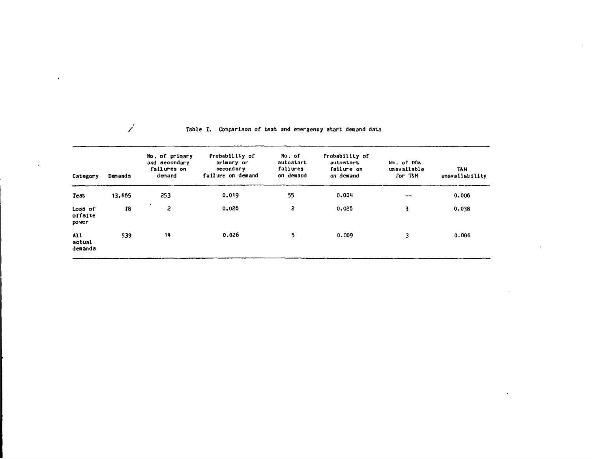#### **Table I . Comparison of test and emergency start demand data**

 $\bullet$ 

 $\mathbf{r}$ 

 $\mathscr{L}$ 

 $\sim$ 

| Category                    | Demands | No. of primary<br>and secondary<br>failures on<br>demand | Probability of<br>primary or<br>secondary<br>failure on demand | No. of<br>autostart<br>failures<br>on demand | Probability of<br>autostart<br>failure on<br>on demand | No. of DGs<br>unavailable<br>for T&M | TA M<br>unavailability |
|-----------------------------|---------|----------------------------------------------------------|----------------------------------------------------------------|----------------------------------------------|--------------------------------------------------------|--------------------------------------|------------------------|
| Test                        | 13,665  | 253                                                      | 0.019                                                          | 55                                           | 0.004                                                  | --                                   | 0.006                  |
| Loss of<br>offsite<br>power | 78      | 2                                                        | 0.026                                                          | 2                                            | 0.026                                                  | 3                                    | 0.038                  |
| A11<br>actual<br>demands    | 539     | 14                                                       | 0.026                                                          | 5.                                           | 0.009                                                  | 3                                    | 0.006                  |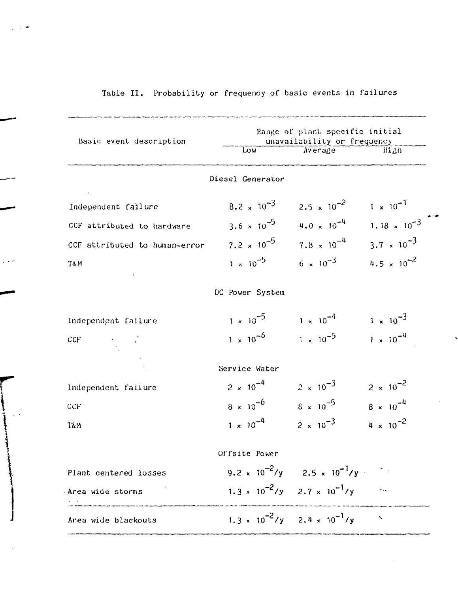# Table II. Probability or frequency of basic events in failures

| Basic event description       | Range of plant specific initial<br>unavailability or frequency |                                                   |                       |  |  |
|-------------------------------|----------------------------------------------------------------|---------------------------------------------------|-----------------------|--|--|
|                               | Low                                                            | Average                                           | High                  |  |  |
|                               | Diesel Generator                                               |                                                   |                       |  |  |
| Independent failure           | $8.2 \times 10^{-3}$                                           | $2.5 \times 10^{-2}$                              | $1 \times 10^{-1}$    |  |  |
| CCF attributed to hardware    | $3.6 \times 10^{-5}$                                           | $4.0 \times 10^{-4}$                              | $1.18 \times 10^{-3}$ |  |  |
| CCF attributed to human-error | $7.2 \times 10^{-5}$                                           | $7.8 \times 10^{-4}$                              | $3.7 \times 10^{-3}$  |  |  |
| T&M<br>$\mathbf{u}$           | $1 \times 10^{-5}$                                             | $6 \times 10^{-3}$                                | $4.5 \times 10^{-2}$  |  |  |
|                               | DC Power System                                                |                                                   |                       |  |  |
| Independent failure           | $1 \times 10^{-5}$                                             | $1 \times 10^{-4}$                                | $1 \times 10^{-3}$    |  |  |
| CCF                           | $1 \times 10^{-6}$                                             | $1 \times 10^{-5}$                                | $1 \times 10^{-4}$    |  |  |
|                               | Service Water                                                  |                                                   |                       |  |  |
| Independent failure           | $2 \times 10^{-4}$                                             | $2 \times 10^{-3}$                                | $2 \times 10^{-2}$    |  |  |
| CCF                           | $8 \times 10^{-6}$                                             | $8 \times 10^{-5}$                                | $8 \times 10^{-4}$    |  |  |
| T&M                           | $1 \times 10^{-4}$                                             | $2 \times 10^{-3}$                                | $4 \times 10^{-2}$    |  |  |
|                               | Offsite Power                                                  |                                                   |                       |  |  |
| Plant centered losses         | 9.2 x $10^{-2}/y$                                              | $2.5 \times 10^{-1}$ /y $^{-1}$                   |                       |  |  |
| Area wide storms              |                                                                | $1.3 \times 10^{-2}$ /y $2.7 \times 10^{-1}$ /y   |                       |  |  |
| Area wide blackouts           |                                                                | $1.3 \times 10^{-2}$ /y 2.4 × $10^{-1}$ /y $\sim$ |                       |  |  |

السرار با استفادت وبرابر کردند کردند که را به این درباره بیشتر به برای برای بازیگر<br>استاد با استفاده از این مورد به این بازیگر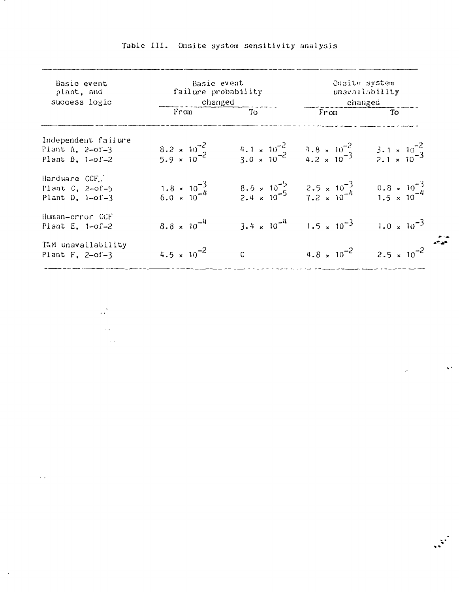| Basic event<br>plant, and<br>success logic                    | Basic event<br>failure probability<br>changed  |                      | Onsite system<br>unavailability<br>changed                                                      |                                                 |  |
|---------------------------------------------------------------|------------------------------------------------|----------------------|-------------------------------------------------------------------------------------------------|-------------------------------------------------|--|
|                                                               | From                                           | To                   | From                                                                                            | $T_{\rm O}$                                     |  |
| Independent failure<br>Plant A, $2-of-3$<br>Plant B, $1-of-2$ | $8.2 \times 10^{-2}$<br>5.9 × 10 <sup>-2</sup> |                      | $\frac{4.1 \times 10^{-2}}{3.0 \times 10^{-2}}$ $\frac{4.8 \times 10^{-2}}{4.2 \times 10^{-3}}$ | $\frac{3.1 \times 10^{-2}}{2.1 \times 10^{-3}}$ |  |
| Hardware CCF.<br>Plant $C_1$ , 2-of-5<br>Plant $D$ , 1-of-3   | $1.8 \times 10^{-3}$<br>6.0 $\times 10^{-4}$   |                      | $8.6 \times 10^{-5}$ $2.5 \times 10^{-3}$<br>$2.4 \times 10^{-5}$ $7.2 \times 10^{-4}$          | $\frac{0.8 \times 10^{-3}}{1.5 \times 10^{-4}}$ |  |
| Human-error CCF<br>Plant E, $1-of-2$                          | $8.8 \times 10^{-4}$                           | $3.4 \times 10^{-4}$ | $1.5 \times 10^{-3}$                                                                            | $1.0 \times 10^{-3}$                            |  |
| T&M unavailability<br>Plant $F$ , 2-of-3                      | 4.5 $\times$ 10 <sup>-2</sup>                  | $\Omega$             | $4.8 \times 10^{-2}$                                                                            | $2.5 \times 10^{-2}$                            |  |

 $\frac{1}{2\sqrt{2}}$  .

 $\sim$   $\sim$  $\frac{1}{2} \frac{1}{2} \frac{1}{2} \frac{1}{2} \frac{1}{2}$ 

 $\ddotsc$ 

 $\sim$   $\sim$ 

 $\mathcal{L}^{\mathcal{L}}$ 

 $\mathcal{L}^{\mathcal{L}}$